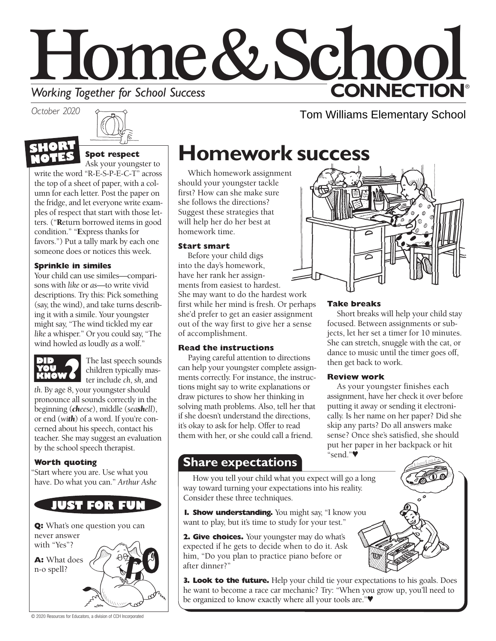# Home&School **CONNECTION® Working Together for School Success**

*October 2020*



## **Spot respect**

Ask your youngster to

write the word "R-E-S-P-E-C-T" across the top of a sheet of paper, with a column for each letter. Post the paper on the fridge, and let everyone write examples of respect that start with those letters. ("Return borrowed items in good condition." "Express thanks for favors.") Put a tally mark by each one someone does or notices this week.

#### **Sprinkle in similes**

Your child can use similes—comparisons with *like* or *as*—to write vivid descriptions. Try this: Pick something (say, the wind), and take turns describing it with a simile. Your youngster might say, "The wind tickled my ear *like* a whisper." Or you could say, "The wind howled *as* loudly *as* a wolf."



The last speech sounds children typically master include *ch*, *sh*, and

*th*. By age 8, your youngster should pronounce all sounds correctly in the beginning (*cheese*), middle (*seashell*), or end (*with*) of a word. If you're concerned about his speech, contact his teacher. She may suggest an evaluation by the school speech therapist.

#### **Worth quoting**

"Start where you are. Use what you have. Do what you can." *Arthur Ashe*



**Q:** What's one question you can never answer with "Yes"? **A:** What does

n-o spell?

## **Homework success**

Which homework assignment should your youngster tackle first? How can she make sure she follows the directions? Suggest these strategies that will help her do her best at homework time.

#### **Start smart**

Before your child digs into the day's homework, have her rank her assignments from easiest to hardest. She may want to do the hardest work first while her mind is fresh. Or perhaps she'd prefer to get an easier assignment out of the way first to give her a sense of accomplishment.

#### **Read the instructions**

Paying careful attention to directions can help your youngster complete assignments correctly. For instance, the instructions might say to write explanations or draw pictures to show her thinking in solving math problems. Also, tell her that if she doesn't understand the directions, it's okay to ask for help. Offer to read them with her, or she could call a friend.

### **Share expectations**

How you tell your child what you expect will go a long way toward turning your expectations into his reality. Consider these three techniques.

**1. Show understanding.** You might say, "I know you want to play, but it's time to study for your test."

**2. Give choices.** Your youngster may do what's expected if he gets to decide when to do it. Ask him, "Do you plan to practice piano before or after dinner?"





Tom Williams Elementary School

#### **Take breaks**

Short breaks will help your child stay focused. Between assignments or subjects, let her set a timer for 10 minutes. She can stretch, snuggle with the cat, or dance to music until the timer goes off, then get back to work.

#### **Review work**

As your youngster finishes each assignment, have her check it over before putting it away or sending it electronically. Is her name on her paper? Did she skip any parts? Do all answers make sense? Once she's satisfied, she should put her paper in her backpack or hit "send."♥